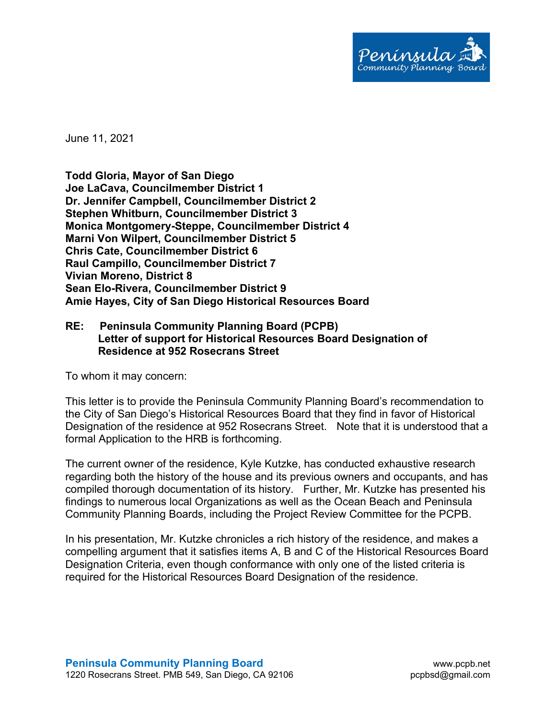

June 11, 2021

**Todd Gloria, Mayor of San Diego Joe LaCava, Councilmember District 1 Dr. Jennifer Campbell, Councilmember District 2 Stephen Whitburn, Councilmember District 3 Monica Montgomery-Steppe, Councilmember District 4 Marni Von Wilpert, Councilmember District 5 Chris Cate, Councilmember District 6 Raul Campillo, Councilmember District 7 Vivian Moreno, District 8 Sean Elo-Rivera, Councilmember District 9 Amie Hayes, City of San Diego Historical Resources Board**

## **RE: Peninsula Community Planning Board (PCPB) Letter of support for Historical Resources Board Designation of Residence at 952 Rosecrans Street**

To whom it may concern:

This letter is to provide the Peninsula Community Planning Board's recommendation to the City of San Diego's Historical Resources Board that they find in favor of Historical Designation of the residence at 952 Rosecrans Street. Note that it is understood that a formal Application to the HRB is forthcoming.

The current owner of the residence, Kyle Kutzke, has conducted exhaustive research regarding both the history of the house and its previous owners and occupants, and has compiled thorough documentation of its history. Further, Mr. Kutzke has presented his findings to numerous local Organizations as well as the Ocean Beach and Peninsula Community Planning Boards, including the Project Review Committee for the PCPB.

In his presentation, Mr. Kutzke chronicles a rich history of the residence, and makes a compelling argument that it satisfies items A, B and C of the Historical Resources Board Designation Criteria, even though conformance with only one of the listed criteria is required for the Historical Resources Board Designation of the residence.